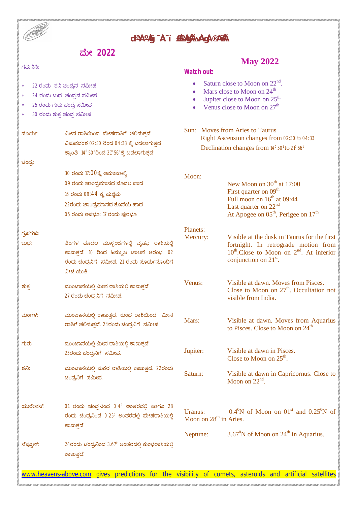